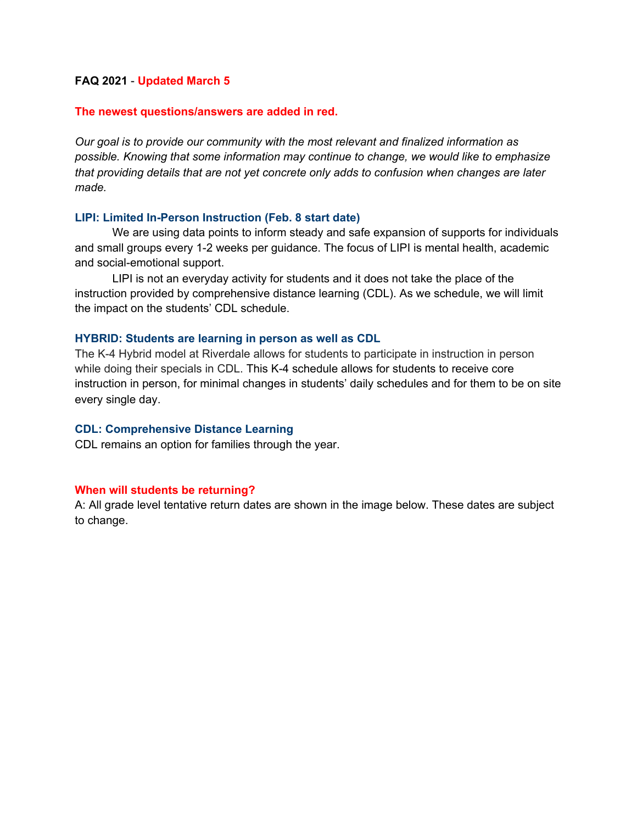#### **FAQ 2021** - **Updated March 5**

#### **The newest questions/answers are added in red.**

*Our goal is to provide our community with the most relevant and finalized information as possible. Knowing that some information may continue to change, we would like to emphasize that providing details that are not yet concrete only adds to confusion when changes are later made.*

#### **LIPI: Limited In-Person Instruction (Feb. 8 start date)**

We are using data points to inform steady and safe expansion of supports for individuals and small groups every 1-2 weeks per guidance. The focus of LIPI is mental health, academic and social-emotional support.

LIPI is not an everyday activity for students and it does not take the place of the instruction provided by comprehensive distance learning (CDL). As we schedule, we will limit the impact on the students' CDL schedule.

#### **HYBRID: Students are learning in person as well as CDL**

The K-4 Hybrid model at Riverdale allows for students to participate in instruction in person while doing their specials in CDL. This K-4 schedule allows for students to receive core instruction in person, for minimal changes in students' daily schedules and for them to be on site every single day.

#### **CDL: Comprehensive Distance Learning**

CDL remains an option for families through the year.

#### **When will students be returning?**

A: All grade level tentative return dates are shown in the image below. These dates are subject to change.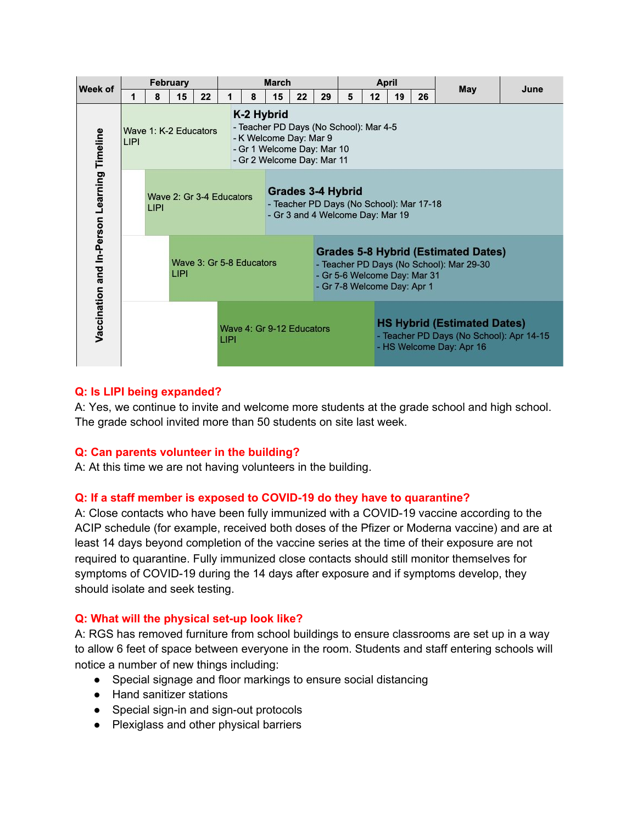| Week of                                     | February    |                       |      |                          | March                             |                                                                                                                                            |                                                                                                   |    |                                                                                                                                                       | <b>April</b> |                                                                                                            |    |    | May | June |  |
|---------------------------------------------|-------------|-----------------------|------|--------------------------|-----------------------------------|--------------------------------------------------------------------------------------------------------------------------------------------|---------------------------------------------------------------------------------------------------|----|-------------------------------------------------------------------------------------------------------------------------------------------------------|--------------|------------------------------------------------------------------------------------------------------------|----|----|-----|------|--|
|                                             | 1           | 8                     | 15   | 22                       |                                   | 8                                                                                                                                          | 15                                                                                                | 22 | 29                                                                                                                                                    | 5            | 12                                                                                                         | 19 | 26 |     |      |  |
| Vaccination and In-Person Learning Timeline | <b>LIPI</b> | Wave 1: K-2 Educators |      |                          |                                   | K-2 Hybrid<br>- Teacher PD Days (No School): Mar 4-5<br>- K Welcome Day: Mar 9<br>- Gr 1 Welcome Day: Mar 10<br>- Gr 2 Welcome Day: Mar 11 |                                                                                                   |    |                                                                                                                                                       |              |                                                                                                            |    |    |     |      |  |
|                                             |             | LIPI                  |      | Wave 2: Gr 3-4 Educators |                                   |                                                                                                                                            | Grades 3-4 Hybrid<br>- Teacher PD Days (No School): Mar 17-18<br>- Gr 3 and 4 Welcome Day: Mar 19 |    |                                                                                                                                                       |              |                                                                                                            |    |    |     |      |  |
|                                             |             |                       | LIPI |                          | Wave 3: Gr 5-8 Educators          |                                                                                                                                            |                                                                                                   |    | <b>Grades 5-8 Hybrid (Estimated Dates)</b><br>- Teacher PD Days (No School): Mar 29-30<br>- Gr 5-6 Welcome Day: Mar 31<br>- Gr 7-8 Welcome Day: Apr 1 |              |                                                                                                            |    |    |     |      |  |
|                                             |             |                       |      |                          | Wave 4: Gr 9-12 Educators<br>LIPI |                                                                                                                                            |                                                                                                   |    |                                                                                                                                                       |              | <b>HS Hybrid (Estimated Dates)</b><br>- Teacher PD Days (No School): Apr 14-15<br>- HS Welcome Day: Apr 16 |    |    |     |      |  |

### **Q: Is LIPI being expanded?**

A: Yes, we continue to invite and welcome more students at the grade school and high school. The grade school invited more than 50 students on site last week.

### **Q: Can parents volunteer in the building?**

A: At this time we are not having volunteers in the building.

### **Q: If a staff member is exposed to COVID-19 do they have to quarantine?**

A: Close contacts who have been fully immunized with a COVID-19 vaccine according to the ACIP schedule (for example, received both doses of the Pfizer or Moderna vaccine) and are at least 14 days beyond completion of the vaccine series at the time of their exposure are not required to quarantine. Fully immunized close contacts should still monitor themselves for symptoms of COVID-19 during the 14 days after exposure and if symptoms develop, they should isolate and seek testing.

#### **Q: What will the physical set-up look like?**

A: RGS has removed furniture from school buildings to ensure classrooms are set up in a way to allow 6 feet of space between everyone in the room. Students and staff entering schools will notice a number of new things including:

- Special signage and floor markings to ensure social distancing
- Hand sanitizer stations
- Special sign-in and sign-out protocols
- Plexiglass and other physical barriers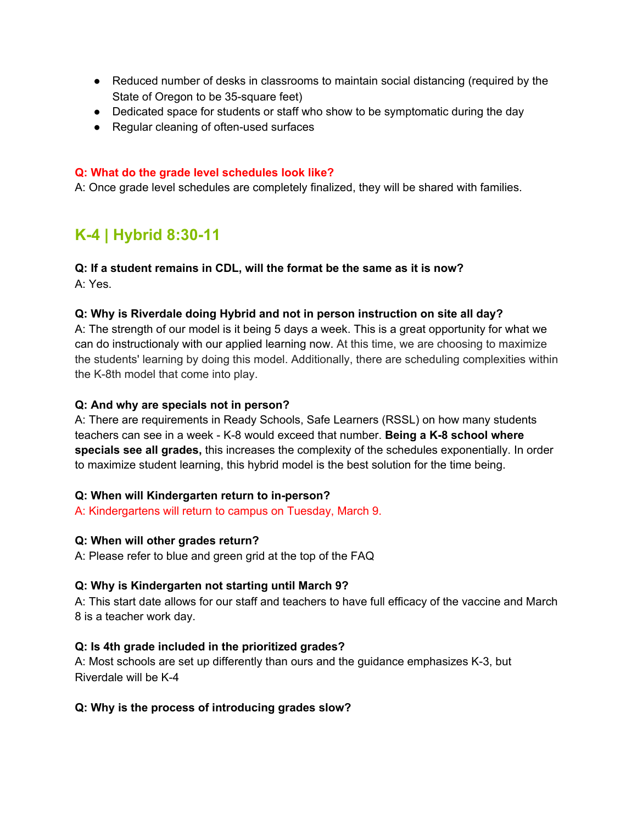- Reduced number of desks in classrooms to maintain social distancing (required by the State of Oregon to be 35-square feet)
- Dedicated space for students or staff who show to be symptomatic during the day
- Regular cleaning of often-used surfaces

### **Q: What do the grade level schedules look like?**

A: Once grade level schedules are completely finalized, they will be shared with families.

# **K-4 | Hybrid 8:30-11**

### **Q: If a student remains in CDL, will the format be the same as it is now?**

A: Yes.

### **Q: Why is Riverdale doing Hybrid and not in person instruction on site all day?**

A: The strength of our model is it being 5 days a week. This is a great opportunity for what we can do instructionaly with our applied learning now. At this time, we are choosing to maximize the students' learning by doing this model. Additionally, there are scheduling complexities within the K-8th model that come into play.

### **Q: And why are specials not in person?**

A: There are requirements in Ready Schools, Safe Learners (RSSL) on how many students teachers can see in a week - K-8 would exceed that number. **Being a K-8 school where specials see all grades,** this increases the complexity of the schedules exponentially. In order to maximize student learning, this hybrid model is the best solution for the time being.

### **Q: When will Kindergarten return to in-person?**

A: Kindergartens will return to campus on Tuesday, March 9.

### **Q: When will other grades return?**

A: Please refer to blue and green grid at the top of the FAQ

### **Q: Why is Kindergarten not starting until March 9?**

A: This start date allows for our staff and teachers to have full efficacy of the vaccine and March 8 is a teacher work day.

### **Q: Is 4th grade included in the prioritized grades?**

A: Most schools are set up differently than ours and the guidance emphasizes K-3, but Riverdale will be K-4

### **Q: Why is the process of introducing grades slow?**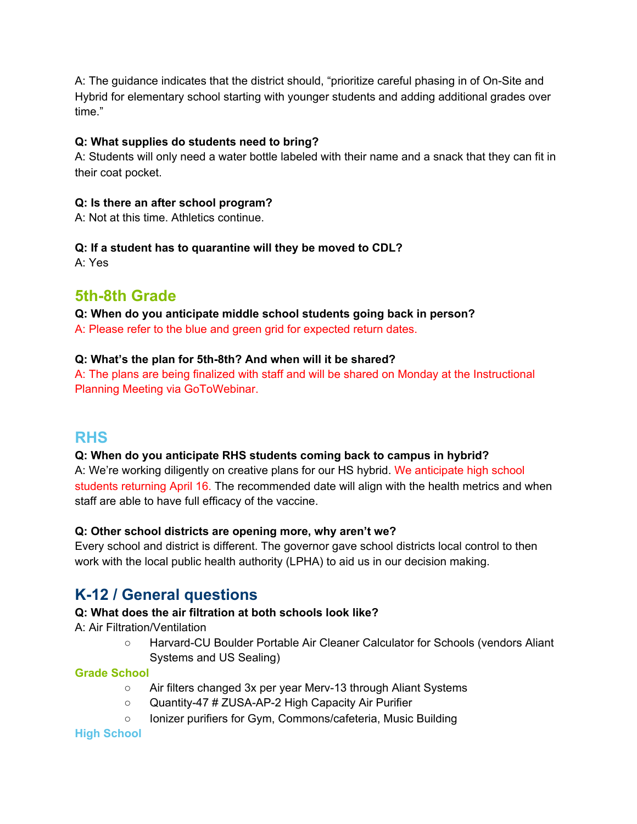A: The guidance indicates that the district should, "prioritize careful phasing in of On-Site and Hybrid for elementary school starting with younger students and adding additional grades over time."

### **Q: What supplies do students need to bring?**

A: Students will only need a water bottle labeled with their name and a snack that they can fit in their coat pocket.

### **Q: Is there an after school program?**

A: Not at this time. Athletics continue.

## **Q: If a student has to quarantine will they be moved to CDL?**

A: Yes

# **5th-8th Grade**

**Q: When do you anticipate middle school students going back in person?**

A: Please refer to the blue and green grid for expected return dates.

### **Q: What's the plan for 5th-8th? And when will it be shared?**

A: The plans are being finalized with staff and will be shared on Monday at the Instructional Planning Meeting via GoToWebinar.

## **RHS**

## **Q: When do you anticipate RHS students coming back to campus in hybrid?**

A: We're working diligently on creative plans for our HS hybrid. We anticipate high school students returning April 16. The recommended date will align with the health metrics and when staff are able to have full efficacy of the vaccine.

## **Q: Other school districts are opening more, why aren't we?**

Every school and district is different. The governor gave school districts local control to then work with the local public health authority (LPHA) to aid us in our decision making.

# **K-12 / General questions**

## **Q: What does the air filtration at both schools look like?**

A: Air Filtration/Ventilation

○ Harvard-CU Boulder Portable Air Cleaner Calculator for Schools (vendors Aliant Systems and US Sealing)

## **Grade School**

- Air filters changed 3x per year Merv-13 through Aliant Systems
- Quantity-47 # ZUSA-AP-2 High Capacity Air Purifier
- Ionizer purifiers for Gym, Commons/cafeteria, Music Building

## **High School**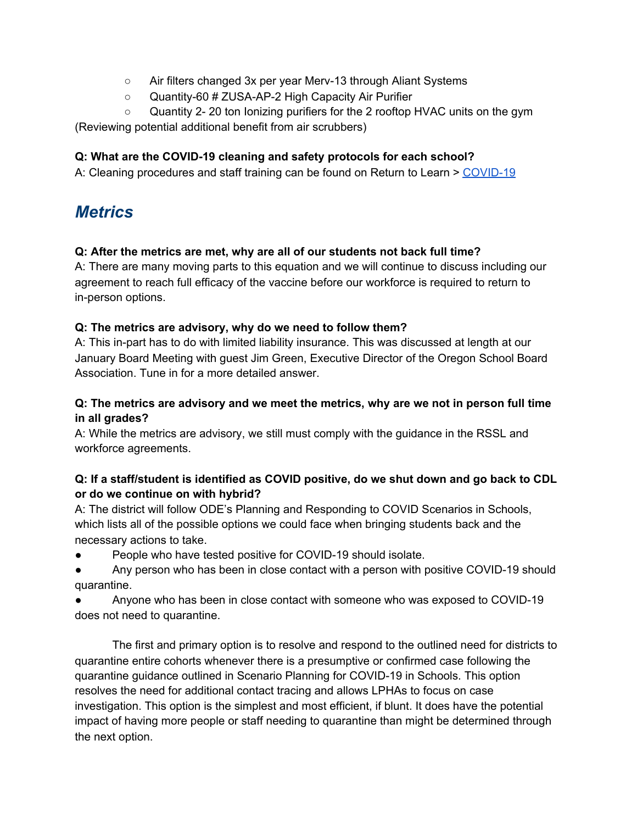- Air filters changed 3x per year Merv-13 through Aliant Systems
- Quantity-60 # ZUSA-AP-2 High Capacity Air Purifier
- Quantity 2- 20 ton Ionizing purifiers for the 2 rooftop HVAC units on the gym

(Reviewing potential additional benefit from air scrubbers)

### **Q: What are the COVID-19 cleaning and safety protocols for each school?**

A: Cleaning procedures and staff training can be found on Return to Learn > [COVID-19](https://www.riverdaleschool.com/Page/1586)

# *Metrics*

### **Q: After the metrics are met, why are all of our students not back full time?**

A: There are many moving parts to this equation and we will continue to discuss including our agreement to reach full efficacy of the vaccine before our workforce is required to return to in-person options.

### **Q: The metrics are advisory, why do we need to follow them?**

A: This in-part has to do with limited liability insurance. This was discussed at length at our January Board Meeting with guest Jim Green, Executive Director of the Oregon School Board Association. Tune in for a more detailed answer.

### **Q: The metrics are advisory and we meet the metrics, why are we not in person full time in all grades?**

A: While the metrics are advisory, we still must comply with the guidance in the RSSL and workforce agreements.

### **Q: If a staff/student is identified as COVID positive, do we shut down and go back to CDL or do we continue on with hybrid?**

A: The district will follow ODE's Planning and Responding to COVID Scenarios in Schools, which lists all of the possible options we could face when bringing students back and the necessary actions to take.

- People who have tested positive for COVID-19 should isolate.
- Any person who has been in close contact with a person with positive COVID-19 should quarantine.
- Anyone who has been in close contact with someone who was exposed to COVID-19 does not need to quarantine.

The first and primary option is to resolve and respond to the outlined need for districts to quarantine entire cohorts whenever there is a presumptive or confirmed case following the quarantine guidance outlined in Scenario Planning for COVID-19 in Schools. This option resolves the need for additional contact tracing and allows LPHAs to focus on case investigation. This option is the simplest and most efficient, if blunt. It does have the potential impact of having more people or staff needing to quarantine than might be determined through the next option.